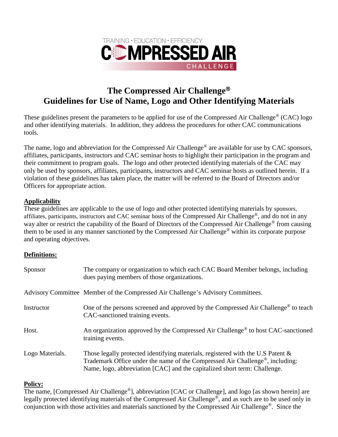

## **The Compressed Air Challenge Guidelines for Use of Name, Logo and Other Identifying Materials**

These guidelines present the parameters to be applied for use of the Compressed Air Challenge<sup>®</sup> (CAC) logo and other identifying materials. In addition, they address the procedures for other CAC communications tools.

The name, logo and abbreviation for the Compressed Air Challenge<sup>®</sup> are available for use by CAC sponsors, affiliates, participants, instructors and CAC seminar hosts to highlight their participation in the program and their commitment to program goals. The logo and other protected identifying materials of the CAC may only be used by sponsors, affiliates, participants, instructors and CAC seminar hosts as outlined herein. If a violation of these guidelines has taken place, the matter will be referred to the Board of Directors and/or Officers for appropriate action.

#### **Applicability**

These guidelines are applicable to the use of logo and other protected identifying materials by sponsors, affiliates, participants, instructors and CAC seminar hosts of the Compressed Air Challenge®, and do not in any way alter or restrict the capability of the Board of Directors of the Compressed Air Challenge<sup>®</sup> from causing them to be used in any manner sanctioned by the Compressed Air Challenge® within its corporate purpose and operating objectives.

#### **Definitions:**

| Sponsor         | The company or organization to which each CAC Board Member belongs, including<br>dues paying members of those organizations.                                                                                                                              |
|-----------------|-----------------------------------------------------------------------------------------------------------------------------------------------------------------------------------------------------------------------------------------------------------|
|                 | Advisory Committee Member of the Compressed Air Challenge's Advisory Committees.                                                                                                                                                                          |
| Instructor      | One of the persons screened and approved by the Compressed Air Challenge <sup>®</sup> to teach<br>CAC-sanctioned training events.                                                                                                                         |
| Host.           | An organization approved by the Compressed Air Challenge <sup>®</sup> to host CAC-sanctioned<br>training events.                                                                                                                                          |
| Logo Materials. | Those legally protected identifying materials, registered with the U.S Patent &<br>Trademark Office under the name of the Compressed Air Challenge <sup>®</sup> , including:<br>Name, logo, abbreviation [CAC] and the capitalized short term: Challenge. |

#### **Policy:**

The name, [Compressed Air Challenge®], abbreviation [CAC or Challenge], and logo [as shown herein] are legally protected identifying materials of the Compressed Air Challenge®, and as such are to be used only in conjunction with those activities and materials sanctioned by the Compressed Air Challenge®. Since the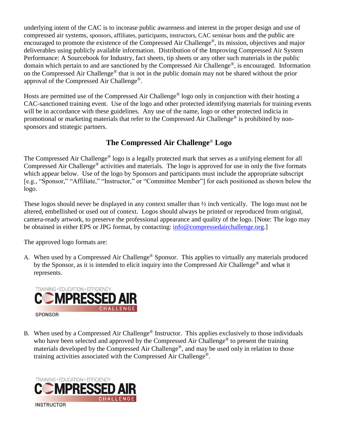underlying intent of the CAC is to increase public awareness and interest in the proper design and use of compressed air systems, sponsors, affiliates, participants, instructors, CAC seminar hosts and the public are encouraged to promote the existence of the Compressed Air Challenge®, its mission, objectives and major deliverables using publicly available information. Distribution of the Improving Compressed Air System Performance: A Sourcebook for Industry, fact sheets, tip sheets or any other such materials in the public domain which pertain to and are sanctioned by the Compressed Air Challenge®, is encouraged. Information on the Compressed Air Challenge® that is not in the public domain may not be shared without the prior approval of the Compressed Air Challenge®.

Hosts are permitted use of the Compressed Air Challenge® logo only in conjunction with their hosting a CAC-sanctioned training event. Use of the logo and other protected identifying materials for training events will be in accordance with these guidelines. Any use of the name, logo or other protected indicia in promotional or marketing materials that refer to the Compressed Air Challenge<sup>®</sup> is prohibited by nonsponsors and strategic partners.

### **The Compressed Air Challenge**® **Logo**

The Compressed Air Challenge® logo is a legally protected mark that serves as a unifying element for all Compressed Air Challenge® activities and materials. The logo is approved for use in only the five formats which appear below. Use of the logo by Sponsors and participants must include the appropriate subscript [e.g., "Sponsor," "Affiliate," "Instructor," or "Committee Member"] for each positioned as shown below the logo.

These logos should never be displayed in any context smaller than ½ inch vertically. The logo must not be altered, embellished or used out of context. Logos should always be printed or reproduced from original, camera-ready artwork, to preserve the professional appearance and quality of the logo. [Note: The logo may be obtained in either EPS or JPG format, by contacting: [info@compressedairchallenge.org.](mailto:info@compressedairchallenge.org)]

The approved logo formats are:

A. When used by a Compressed Air Challenge<sup>®</sup> Sponsor. This applies to virtually any materials produced by the Sponsor, as it is intended to elicit inquiry into the Compressed Air Challenge® and what it represents.



B. When used by a Compressed Air Challenge<sup>®</sup> Instructor. This applies exclusively to those individuals who have been selected and approved by the Compressed Air Challenge<sup>®</sup> to present the training materials developed by the Compressed Air Challenge®, and may be used only in relation to those training activities associated with the Compressed Air Challenge®.



**INSTRUCTOR**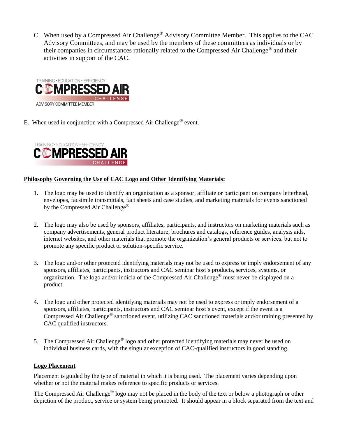C. When used by a Compressed Air Challenge® Advisory Committee Member. This applies to the CAC Advisory Committees, and may be used by the members of these committees as individuals or by their companies in circumstances rationally related to the Compressed Air Challenge® and their activities in support of the CAC.



E. When used in conjunction with a Compressed Air Challenge<sup>®</sup> event.



#### **Philosophy Governing the Use of CAC Logo and Other Identifying Materials:**

- 1. The logo may be used to identify an organization as a sponsor, affiliate or participant on company letterhead, envelopes, facsimile transmittals, fact sheets and case studies, and marketing materials for events sanctioned by the Compressed Air Challenge<sup>®</sup>.
- 2. The logo may also be used by sponsors, affiliates, participants, and instructors on marketing materials such as company advertisements, general product literature, brochures and catalogs, reference guides, analysis aids, internet websites, and other materials that promote the organization's general products or services, but not to promote any specific product or solution-specific service.
- 3. The logo and/or other protected identifying materials may not be used to express or imply endorsement of any sponsors, affiliates, participants, instructors and CAC seminar host's products, services, systems, or organization. The logo and/or indicia of the Compressed Air Challenge® must never be displayed on a product.
- 4. The logo and other protected identifying materials may not be used to express or imply endorsement of a sponsors, affiliates, participants, instructors and CAC seminar host's event, except if the event is a Compressed Air Challenge® sanctioned event, utilizing CAC sanctioned materials and/or training presented by CAC qualified instructors.
- 5. The Compressed Air Challenge® logo and other protected identifying materials may never be used on individual business cards, with the singular exception of CAC-qualified instructors in good standing.

#### **Logo Placement**

Placement is guided by the type of material in which it is being used. The placement varies depending upon whether or not the material makes reference to specific products or services.

The Compressed Air Challenge<sup>®</sup> logo may not be placed in the body of the text or below a photograph or other depiction of the product, service or system being promoted. It should appear in a block separated from the text and